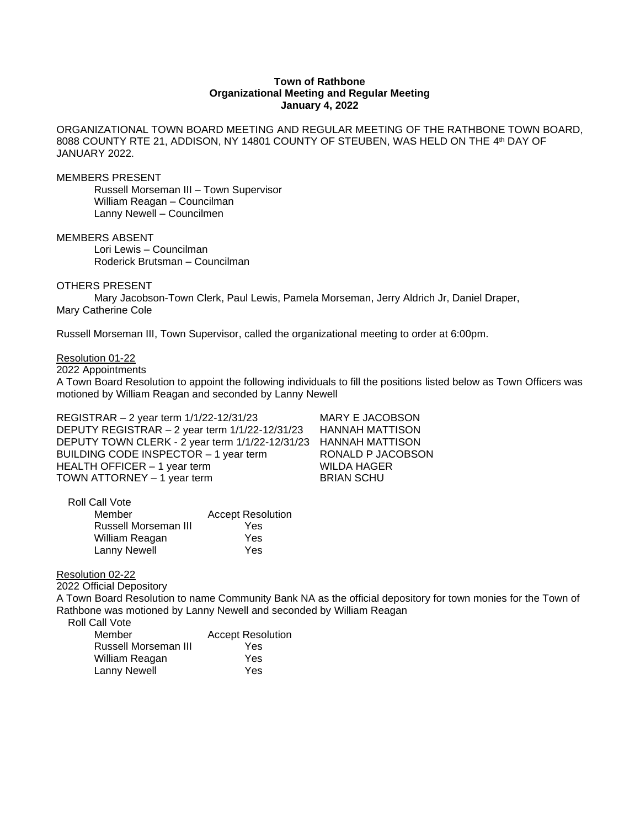## **Town of Rathbone Organizational Meeting and Regular Meeting January 4, 2022**

ORGANIZATIONAL TOWN BOARD MEETING AND REGULAR MEETING OF THE RATHBONE TOWN BOARD, 8088 COUNTY RTE 21, ADDISON, NY 14801 COUNTY OF STEUBEN, WAS HELD ON THE 4<sup>th</sup> DAY OF JANUARY 2022.

MEMBERS PRESENT

Russell Morseman III – Town Supervisor William Reagan – Councilman Lanny Newell – Councilmen

MEMBERS ABSENT

Lori Lewis – Councilman Roderick Brutsman – Councilman

OTHERS PRESENT

Mary Jacobson-Town Clerk, Paul Lewis, Pamela Morseman, Jerry Aldrich Jr, Daniel Draper, Mary Catherine Cole

Russell Morseman III, Town Supervisor, called the organizational meeting to order at 6:00pm.

Resolution 01-22

2022 Appointments

A Town Board Resolution to appoint the following individuals to fill the positions listed below as Town Officers was motioned by William Reagan and seconded by Lanny Newell

REGISTRAR – 2 year term 1/1/22-12/31/23 MARY E JACOBSON DEPUTY REGISTRAR – 2 year term 1/1/22-12/31/23 HANNAH MATTISON DEPUTY TOWN CLERK - 2 year term 1/1/22-12/31/23 HANNAH MATTISON BUILDING CODE INSPECTOR - 1 year term RONALD P JACOBSON HEALTH OFFICER - 1 year term WILDA HAGER TOWN ATTORNEY – 1 year term BRIAN SCHU

| Roll Call Vote       |                          |
|----------------------|--------------------------|
| Member               | <b>Accept Resolution</b> |
| Russell Morseman III | Yes                      |
| William Reagan       | Yes                      |
| Lanny Newell         | Yes                      |

Resolution 02-22

2022 Official Depository

A Town Board Resolution to name Community Bank NA as the official depository for town monies for the Town of Rathbone was motioned by Lanny Newell and seconded by William Reagan

Roll Call Vote

| Member               | <b>Accept Resolution</b> |
|----------------------|--------------------------|
| Russell Morseman III | Yes                      |
| William Reagan       | Yes                      |
| Lanny Newell         | Yes                      |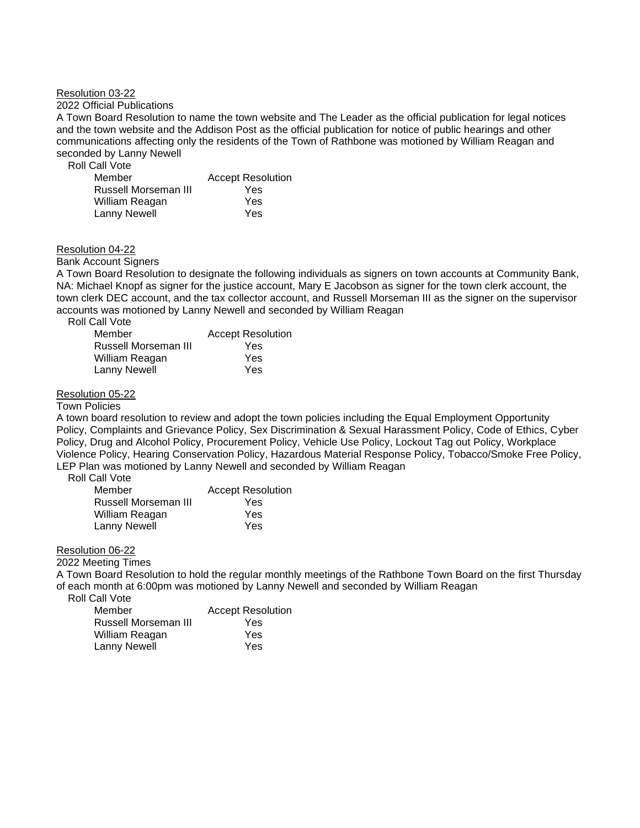### Resolution 03-22

2022 Official Publications

A Town Board Resolution to name the town website and The Leader as the official publication for legal notices and the town website and the Addison Post as the official publication for notice of public hearings and other communications affecting only the residents of the Town of Rathbone was motioned by William Reagan and seconded by Lanny Newell

Roll Call Vote

| Member               | <b>Accept Resolution</b> |
|----------------------|--------------------------|
| Russell Morseman III | Yes                      |
| William Reagan       | Yes                      |
| <b>Lanny Newell</b>  | Yes                      |

## Resolution 04-22

Bank Account Signers

A Town Board Resolution to designate the following individuals as signers on town accounts at Community Bank, NA: Michael Knopf as signer for the justice account, Mary E Jacobson as signer for the town clerk account, the town clerk DEC account, and the tax collector account, and Russell Morseman III as the signer on the supervisor accounts was motioned by Lanny Newell and seconded by William Reagan

Roll Call Vote

| <b>Accept Resolution</b> |
|--------------------------|
| Yes                      |
| Yes                      |
| Yes                      |
|                          |

### Resolution 05-22

## Town Policies

A town board resolution to review and adopt the town policies including the Equal Employment Opportunity Policy, Complaints and Grievance Policy, Sex Discrimination & Sexual Harassment Policy, Code of Ethics, Cyber Policy, Drug and Alcohol Policy, Procurement Policy, Vehicle Use Policy, Lockout Tag out Policy, Workplace Violence Policy, Hearing Conservation Policy, Hazardous Material Response Policy, Tobacco/Smoke Free Policy, LEP Plan was motioned by Lanny Newell and seconded by William Reagan

Roll Call Vote

| Member               | <b>Accept Resolution</b> |
|----------------------|--------------------------|
| Russell Morseman III | Yes                      |
| William Reagan       | Yes                      |
| <b>Lanny Newell</b>  | Yes                      |

Resolution 06-22

2022 Meeting Times

A Town Board Resolution to hold the regular monthly meetings of the Rathbone Town Board on the first Thursday of each month at 6:00pm was motioned by Lanny Newell and seconded by William Reagan

Roll Call Vote

| Member               | <b>Accept Resolution</b> |
|----------------------|--------------------------|
| Russell Morseman III | Yes                      |
| William Reagan       | Yes                      |
| Lanny Newell         | Yes                      |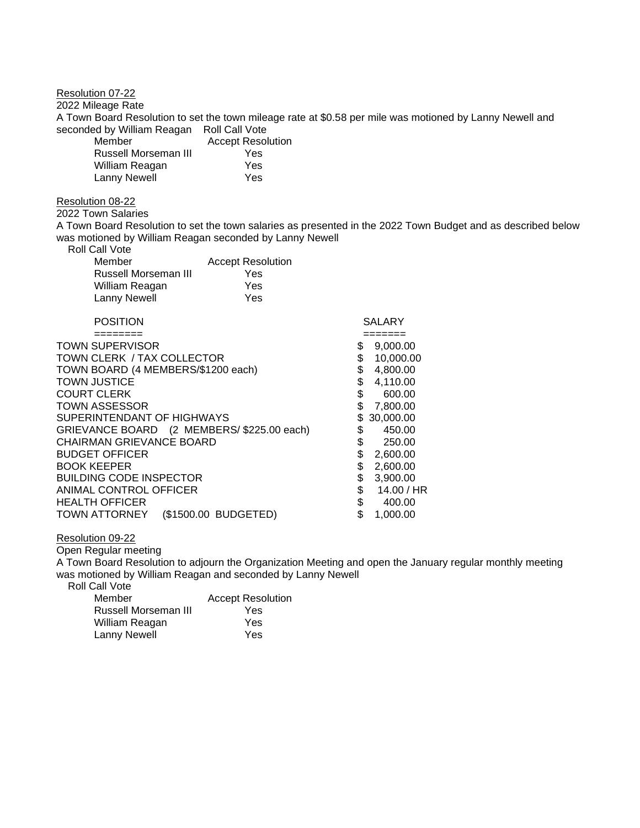Resolution 07-22 2022 Mileage Rate A Town Board Resolution to set the town mileage rate at \$0.58 per mile was motioned by Lanny Newell and seconded by William Reagan Roll Call Vote Member **Accept Resolution** 

| Russell Morseman III | Yes |
|----------------------|-----|
| William Reagan       | Yes |
| <b>Lanny Newell</b>  | Yes |

#### Resolution 08-22

### 2022 Town Salaries

A Town Board Resolution to set the town salaries as presented in the 2022 Town Budget and as described below was motioned by William Reagan seconded by Lanny Newell

|  | <b>Roll Call Vote</b> |
|--|-----------------------|
|  |                       |

| Member               | <b>Accept Resolution</b> |
|----------------------|--------------------------|
| Russell Morseman III | Yes                      |
| William Reagan       | Yes                      |
| Lanny Newell         | Yes                      |

# POSITION SALARY

| -------                                      |                  |
|----------------------------------------------|------------------|
| <b>TOWN SUPERVISOR</b>                       | 9,000.00         |
| TOWN CLERK / TAX COLLECTOR                   | 10.000.00        |
| TOWN BOARD (4 MEMBERS/\$1200 each)           | \$<br>4,800.00   |
| <b>TOWN JUSTICE</b>                          | 4,110.00         |
| <b>COURT CLERK</b>                           | \$<br>600.00     |
| <b>TOWN ASSESSOR</b>                         | \$<br>7,800.00   |
| SUPERINTENDANT OF HIGHWAYS                   | 30,000.00        |
| GRIEVANCE BOARD (2 MEMBERS/ \$225.00 each)   | 450.00           |
| CHAIRMAN GRIEVANCE BOARD                     | \$<br>250.00     |
| <b>BUDGET OFFICER</b>                        | \$<br>2,600.00   |
| <b>BOOK KEEPER</b>                           | 2,600.00         |
| <b>BUILDING CODE INSPECTOR</b>               | 3,900.00         |
| ANIMAL CONTROL OFFICER                       | \$<br>14.00 / HR |
| <b>HEALTH OFFICER</b>                        | \$<br>400.00     |
| (\$1500.00 BUDGETED)<br><b>TOWN ATTORNEY</b> | \$<br>1,000.00   |

### Resolution 09-22

Open Regular meeting

A Town Board Resolution to adjourn the Organization Meeting and open the January regular monthly meeting was motioned by William Reagan and seconded by Lanny Newell

 Roll Call Vote **Accept Resolution** Russell Morseman III **Yes**<br>William Reagan **Yes** William Reagan Lanny Newell Yes